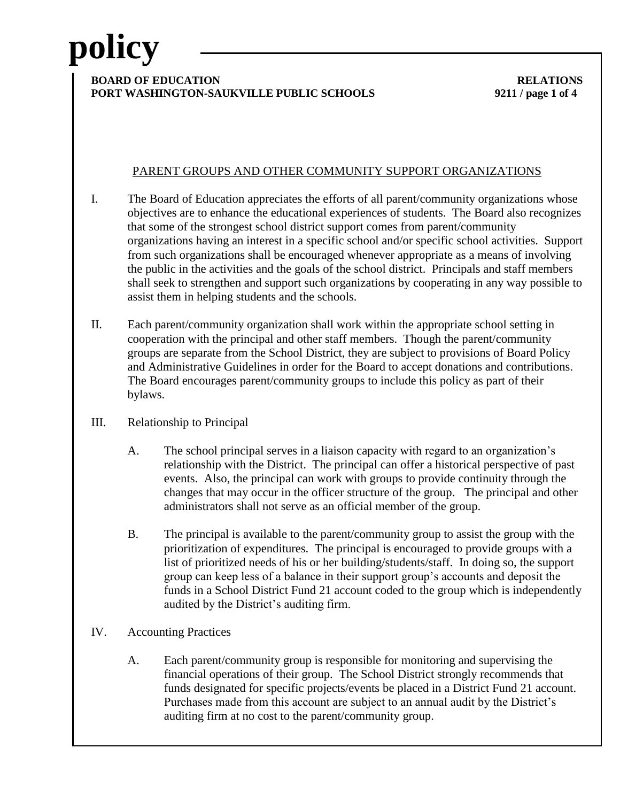### **BOARD OF EDUCATION** RELATIONS **PORT WASHINGTON-SAUKVILLE PUBLIC SCHOOLS 9211 / page 1 of 4**

### PARENT GROUPS AND OTHER COMMUNITY SUPPORT ORGANIZATIONS

- I. The Board of Education appreciates the efforts of all parent/community organizations whose objectives are to enhance the educational experiences of students. The Board also recognizes that some of the strongest school district support comes from parent/community organizations having an interest in a specific school and/or specific school activities. Support from such organizations shall be encouraged whenever appropriate as a means of involving the public in the activities and the goals of the school district. Principals and staff members shall seek to strengthen and support such organizations by cooperating in any way possible to assist them in helping students and the schools.
- II. Each parent/community organization shall work within the appropriate school setting in cooperation with the principal and other staff members. Though the parent/community groups are separate from the School District, they are subject to provisions of Board Policy and Administrative Guidelines in order for the Board to accept donations and contributions. The Board encourages parent/community groups to include this policy as part of their bylaws.
- III. Relationship to Principal
	- A. The school principal serves in a liaison capacity with regard to an organization's relationship with the District. The principal can offer a historical perspective of past events. Also, the principal can work with groups to provide continuity through the changes that may occur in the officer structure of the group. The principal and other administrators shall not serve as an official member of the group.
	- B. The principal is available to the parent/community group to assist the group with the prioritization of expenditures. The principal is encouraged to provide groups with a list of prioritized needs of his or her building/students/staff. In doing so, the support group can keep less of a balance in their support group's accounts and deposit the funds in a School District Fund 21 account coded to the group which is independently audited by the District's auditing firm.
- IV. Accounting Practices
	- A. Each parent/community group is responsible for monitoring and supervising the financial operations of their group. The School District strongly recommends that funds designated for specific projects/events be placed in a District Fund 21 account. Purchases made from this account are subject to an annual audit by the District's auditing firm at no cost to the parent/community group.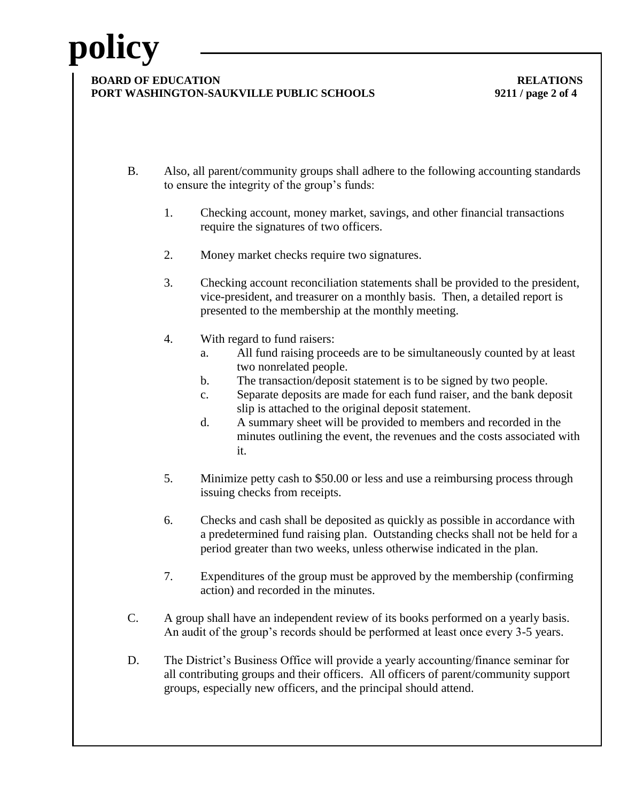#### **BOARD OF EDUCATION** RELATIONS **PORT WASHINGTON-SAUKVILLE PUBLIC SCHOOLS 9211 / page 2 of 4**

- B. Also, all parent/community groups shall adhere to the following accounting standards to ensure the integrity of the group's funds:
	- 1. Checking account, money market, savings, and other financial transactions require the signatures of two officers.
	- 2. Money market checks require two signatures.
	- 3. Checking account reconciliation statements shall be provided to the president, vice-president, and treasurer on a monthly basis. Then, a detailed report is presented to the membership at the monthly meeting.
	- 4. With regard to fund raisers:
		- a. All fund raising proceeds are to be simultaneously counted by at least two nonrelated people.
		- b. The transaction/deposit statement is to be signed by two people.
		- c. Separate deposits are made for each fund raiser, and the bank deposit slip is attached to the original deposit statement.
		- d. A summary sheet will be provided to members and recorded in the minutes outlining the event, the revenues and the costs associated with it.
	- 5. Minimize petty cash to \$50.00 or less and use a reimbursing process through issuing checks from receipts.
	- 6. Checks and cash shall be deposited as quickly as possible in accordance with a predetermined fund raising plan. Outstanding checks shall not be held for a period greater than two weeks, unless otherwise indicated in the plan.
	- 7. Expenditures of the group must be approved by the membership (confirming action) and recorded in the minutes.
- C. A group shall have an independent review of its books performed on a yearly basis. An audit of the group's records should be performed at least once every 3-5 years.
- D. The District's Business Office will provide a yearly accounting/finance seminar for all contributing groups and their officers. All officers of parent/community support groups, especially new officers, and the principal should attend.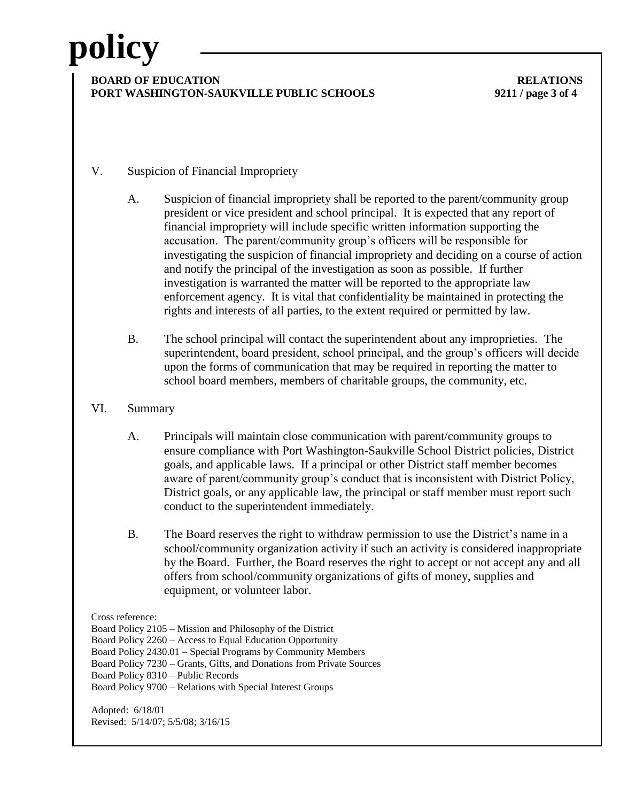### **BOARD OF EDUCATION** RELATIONS **PORT WASHINGTON-SAUKVILLE PUBLIC SCHOOLS 9211 / page 3 of 4**

- V. Suspicion of Financial Impropriety
	- A. Suspicion of financial impropriety shall be reported to the parent/community group president or vice president and school principal. It is expected that any report of financial impropriety will include specific written information supporting the accusation. The parent/community group's officers will be responsible for investigating the suspicion of financial impropriety and deciding on a course of action and notify the principal of the investigation as soon as possible. If further investigation is warranted the matter will be reported to the appropriate law enforcement agency. It is vital that confidentiality be maintained in protecting the rights and interests of all parties, to the extent required or permitted by law.
	- B. The school principal will contact the superintendent about any improprieties. The superintendent, board president, school principal, and the group's officers will decide upon the forms of communication that may be required in reporting the matter to school board members, members of charitable groups, the community, etc.
- VI. Summary
	- A. Principals will maintain close communication with parent/community groups to ensure compliance with Port Washington-Saukville School District policies, District goals, and applicable laws. If a principal or other District staff member becomes aware of parent/community group's conduct that is inconsistent with District Policy, District goals, or any applicable law, the principal or staff member must report such conduct to the superintendent immediately.
	- B. The Board reserves the right to withdraw permission to use the District's name in a school/community organization activity if such an activity is considered inappropriate by the Board. Further, the Board reserves the right to accept or not accept any and all offers from school/community organizations of gifts of money, supplies and equipment, or volunteer labor.

#### Cross reference:

Board Policy 2105 – Mission and Philosophy of the District Board Policy 2260 – Access to Equal Education Opportunity Board Policy 2430.01 – Special Programs by Community Members Board Policy 7230 – Grants, Gifts, and Donations from Private Sources Board Policy 8310 – Public Records Board Policy 9700 – Relations with Special Interest Groups

Adopted: 6/18/01 Revised: 5/14/07; 5/5/08; 3/16/15